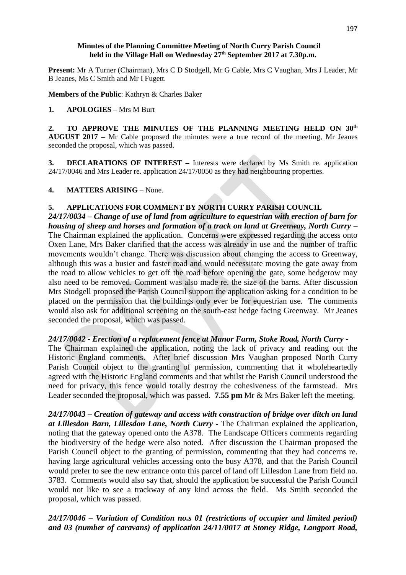#### **Minutes of the Planning Committee Meeting of North Curry Parish Council held in the Village Hall on Wednesday 27 th September 2017 at 7.30p.m.**

**Present:** Mr A Turner (Chairman), Mrs C D Stodgell, Mr G Cable, Mrs C Vaughan, Mrs J Leader, Mr B Jeanes, Ms C Smith and Mr I Fugett.

**Members of the Public**: Kathryn & Charles Baker

#### **1. APOLOGIES** – Mrs M Burt

**2. TO APPROVE THE MINUTES OF THE PLANNING MEETING HELD ON 30th AUGUST 2017 –** Mr Cable proposed the minutes were a true record of the meeting, Mr Jeanes seconded the proposal, which was passed.

**3. DECLARATIONS OF INTEREST –** Interests were declared by Ms Smith re. application 24/17/0046 and Mrs Leader re. application 24/17/0050 as they had neighbouring properties.

#### **4. MATTERS ARISING** – None.

### **5. APPLICATIONS FOR COMMENT BY NORTH CURRY PARISH COUNCIL**

*24/17/0034 – Change of use of land from agriculture to equestrian with erection of barn for housing of sheep and horses and formation of a track on land at Greenway, North Curry –* The Chairman explained the application. Concerns were expressed regarding the access onto Oxen Lane, Mrs Baker clarified that the access was already in use and the number of traffic movements wouldn't change. There was discussion about changing the access to Greenway, although this was a busier and faster road and would necessitate moving the gate away from the road to allow vehicles to get off the road before opening the gate, some hedgerow may also need to be removed. Comment was also made re. the size of the barns. After discussion Mrs Stodgell proposed the Parish Council support the application asking for a condition to be placed on the permission that the buildings only ever be for equestrian use. The comments would also ask for additional screening on the south-east hedge facing Greenway. Mr Jeanes seconded the proposal, which was passed.

### *24/17/0042 - Erection of a replacement fence at Manor Farm, Stoke Road, North Curry -*

The Chairman explained the application, noting the lack of privacy and reading out the Historic England comments. After brief discussion Mrs Vaughan proposed North Curry Parish Council object to the granting of permission, commenting that it wholeheartedly agreed with the Historic England comments and that whilst the Parish Council understood the need for privacy, this fence would totally destroy the cohesiveness of the farmstead. Mrs Leader seconded the proposal, which was passed. **7.55 pm** Mr & Mrs Baker left the meeting.

*24/17/0043 – Creation of gateway and access with construction of bridge over ditch on land at Lillesdon Barn, Lillesdon Lane, North Curry -* The Chairman explained the application, noting that the gateway opened onto the A378. The Landscape Officers comments regarding the biodiversity of the hedge were also noted. After discussion the Chairman proposed the Parish Council object to the granting of permission, commenting that they had concerns re. having large agricultural vehicles accessing onto the busy A378, and that the Parish Council would prefer to see the new entrance onto this parcel of land off Lillesdon Lane from field no. 3783. Comments would also say that, should the application be successful the Parish Council would not like to see a trackway of any kind across the field. Ms Smith seconded the proposal, which was passed.

### *24/17/0046 – Variation of Condition no.s 01 (restrictions of occupier and limited period) and 03 (number of caravans) of application 24/11/0017 at Stoney Ridge, Langport Road,*